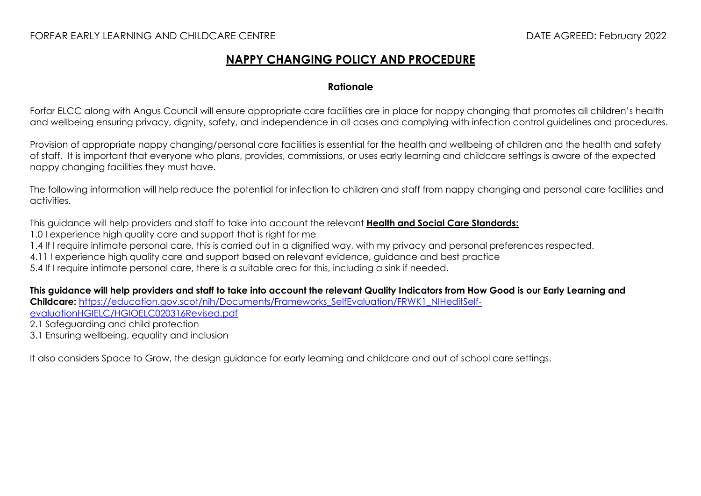# **NAPPY CHANGING POLICY AND PROCEDURE**

### **Rationale**

Forfar ELCC along with Angus Council will ensure appropriate care facilities are in place for nappy changing that promotes all children's health and wellbeing ensuring privacy, dignity, safety, and independence in all cases and complying with infection control guidelines and procedures.

Provision of appropriate nappy changing/personal care facilities is essential for the health and wellbeing of children and the health and safety of staff. It is important that everyone who plans, provides, commissions, or uses early learning and childcare settings is aware of the expected nappy changing facilities they must have.

The following information will help reduce the potential for infection to children and staff from nappy changing and personal care facilities and activities.

This guidance will help providers and staff to take into account the relevant **[Health and Social Care Standards:](https://www.gov.scot/binaries/content/documents/govscot/publications/advice-and-guidance/2017/06/health-social-care-standards-support-life/documents/00520693-pdf/00520693-pdf/govscot%3Adocument/00520693.pdf)**

1.0 I experience high quality care and support that is right for me

1.4 If I require intimate personal care, this is carried out in a dignified way, with my privacy and personal preferences respected.

4.11 I experience high quality care and support based on relevant evidence, guidance and best practice

5.4 If I require intimate personal care, there is a suitable area for this, including a sink if needed.

**This guidance will help providers and staff to take into account the relevant Quality Indicators from How Good is our Early Learning and**  Childcare: https://education.gov.scot/nih/Documents/Frameworks SelfEvaluation/FRWK1\_NIHeditSelf[evaluationHGIELC/HGIOELC020316Revised.pdf](https://education.gov.scot/nih/Documents/Frameworks_SelfEvaluation/FRWK1_NIHeditSelf-evaluationHGIELC/HGIOELC020316Revised.pdf)

2.1 Safeguarding and child protection

3.1 Ensuring wellbeing, equality and inclusion

It also considers Space to Grow, the design guidance for early learning and childcare and out of school care settings.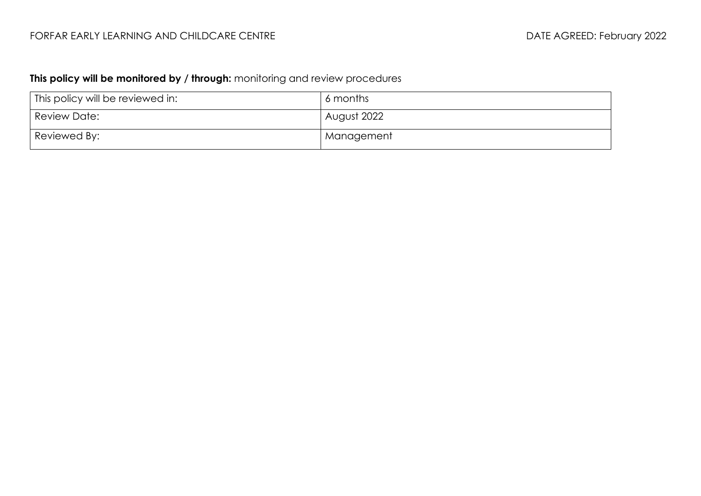# **This policy will be monitored by / through:** monitoring and review procedures

| This policy will be reviewed in: | 6 months    |
|----------------------------------|-------------|
| Review Date:                     | August 2022 |
| Reviewed By:                     | Management  |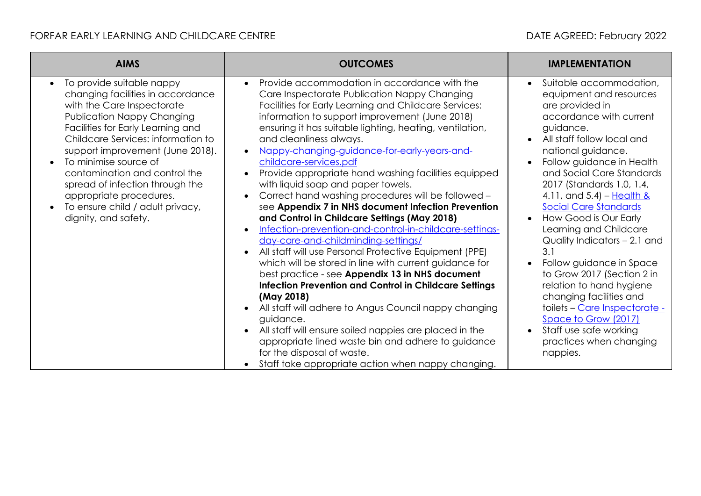# FORFAR EARLY LEARNING AND CHILDCARE CENTRE **Extractional Contract Contract CENTRE** DATE AGREED: February 2022

| <b>AIMS</b>                                                                                                                                                                                                                                                                                                                                                                                                                                       | <b>OUTCOMES</b>                                                                                                                                                                                                                                                                                                                                                                                                                                                                                                                                                                                                                                                                                                                                                                                                                                                                                                                                                                                                                                                                                                                                                                                                                                                                                 | <b>IMPLEMENTATION</b>                                                                                                                                                                                                                                                                                                                                                                                                                                                                                                                                                                                                                                                                                                                      |
|---------------------------------------------------------------------------------------------------------------------------------------------------------------------------------------------------------------------------------------------------------------------------------------------------------------------------------------------------------------------------------------------------------------------------------------------------|-------------------------------------------------------------------------------------------------------------------------------------------------------------------------------------------------------------------------------------------------------------------------------------------------------------------------------------------------------------------------------------------------------------------------------------------------------------------------------------------------------------------------------------------------------------------------------------------------------------------------------------------------------------------------------------------------------------------------------------------------------------------------------------------------------------------------------------------------------------------------------------------------------------------------------------------------------------------------------------------------------------------------------------------------------------------------------------------------------------------------------------------------------------------------------------------------------------------------------------------------------------------------------------------------|--------------------------------------------------------------------------------------------------------------------------------------------------------------------------------------------------------------------------------------------------------------------------------------------------------------------------------------------------------------------------------------------------------------------------------------------------------------------------------------------------------------------------------------------------------------------------------------------------------------------------------------------------------------------------------------------------------------------------------------------|
| To provide suitable nappy<br>$\bullet$<br>changing facilities in accordance<br>with the Care Inspectorate<br><b>Publication Nappy Changing</b><br>Facilities for Early Learning and<br>Childcare Services: information to<br>support improvement (June 2018).<br>To minimise source of<br>contamination and control the<br>spread of infection through the<br>appropriate procedures.<br>To ensure child / adult privacy,<br>dignity, and safety. | Provide accommodation in accordance with the<br>$\bullet$<br>Care Inspectorate Publication Nappy Changing<br>Facilities for Early Learning and Childcare Services:<br>information to support improvement (June 2018)<br>ensuring it has suitable lighting, heating, ventilation,<br>and cleanliness always.<br>Nappy-changing-guidance-for-early-years-and-<br>$\bullet$<br>childcare-services.pdf<br>Provide appropriate hand washing facilities equipped<br>with liquid soap and paper towels.<br>Correct hand washing procedures will be followed -<br>see Appendix 7 in NHS document Infection Prevention<br>and Control in Childcare Settings (May 2018)<br>Infection-prevention-and-control-in-childcare-settings-<br>day-care-and-childminding-settings/<br>All staff will use Personal Protective Equipment (PPE)<br>which will be stored in line with current guidance for<br>best practice - see Appendix 13 in NHS document<br><b>Infection Prevention and Control in Childcare Settings</b><br>(May 2018)<br>All staff will adhere to Angus Council nappy changing<br>guidance.<br>All staff will ensure soiled nappies are placed in the<br>appropriate lined waste bin and adhere to guidance<br>for the disposal of waste.<br>Staff take appropriate action when nappy changing. | Suitable accommodation,<br>$\bullet$<br>equipment and resources<br>are provided in<br>accordance with current<br>guidance.<br>All staff follow local and<br>$\bullet$<br>national guidance.<br>Follow guidance in Health<br>$\bullet$<br>and Social Care Standards<br>2017 (Standards 1.0, 1.4,<br>4.11, and 5.4) $-$ Health &<br><b>Social Care Standards</b><br>How Good is Our Early<br>$\bullet$<br>Learning and Childcare<br>Quality Indicators – 2.1 and<br>3.1<br>Follow guidance in Space<br>$\bullet$<br>to Grow 2017 (Section 2 in<br>relation to hand hygiene<br>changing facilities and<br>toilets - Care Inspectorate -<br>Space to Grow (2017)<br>Staff use safe working<br>$\bullet$<br>practices when changing<br>nappies. |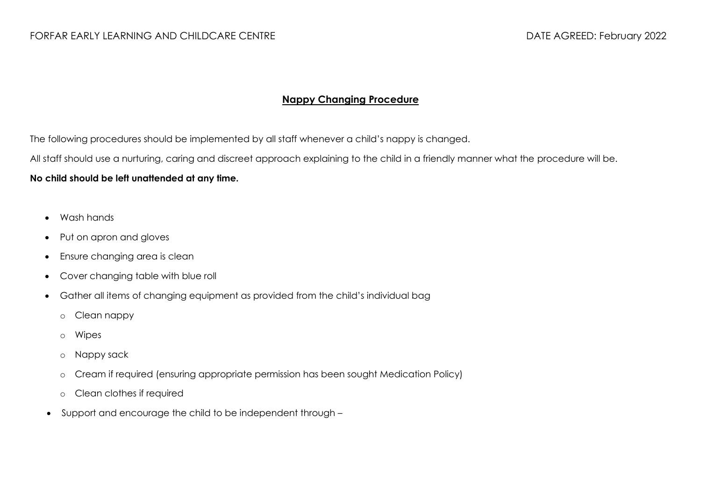### **Nappy Changing Procedure**

The following procedures should be implemented by all staff whenever a child's nappy is changed.

All staff should use a nurturing, caring and discreet approach explaining to the child in a friendly manner what the procedure will be.

### **No child should be left unattended at any time.**

- Wash hands
- Put on apron and gloves
- Ensure changing area is clean
- Cover changing table with blue roll
- Gather all items of changing equipment as provided from the child's individual bag
	- o Clean nappy
	- o Wipes
	- o Nappy sack
	- o Cream if required (ensuring appropriate permission has been sought Medication Policy)
	- o Clean clothes if required
- Support and encourage the child to be independent through –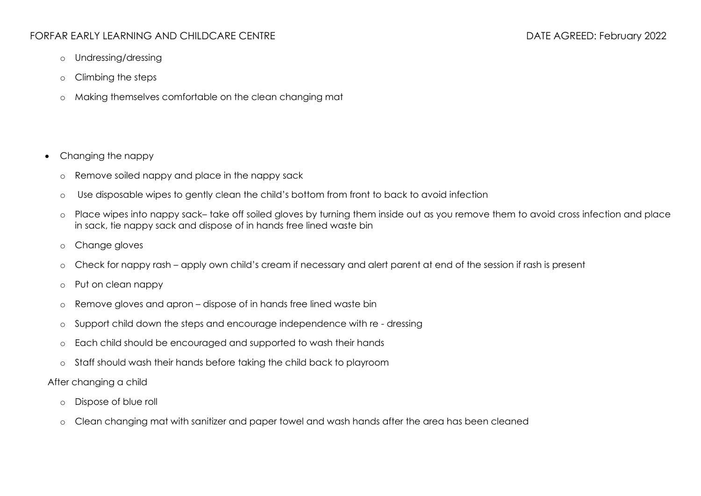## FORFAR EARLY LEARNING AND CHILDCARE CENTRE DATE AGREED: February 2022

- o Undressing/dressing
- o Climbing the steps
- o Making themselves comfortable on the clean changing mat
- Changing the nappy
	- o Remove soiled nappy and place in the nappy sack
	- o Use disposable wipes to gently clean the child's bottom from front to back to avoid infection
	- o Place wipes into nappy sack– take off soiled gloves by turning them inside out as you remove them to avoid cross infection and place in sack, tie nappy sack and dispose of in hands free lined waste bin
	- o Change gloves
	- o Check for nappy rash apply own child's cream if necessary and alert parent at end of the session if rash is present
	- o Put on clean nappy
	- o Remove gloves and apron dispose of in hands free lined waste bin
	- o Support child down the steps and encourage independence with re dressing
	- o Each child should be encouraged and supported to wash their hands
	- o Staff should wash their hands before taking the child back to playroom
- After changing a child
	- o Dispose of blue roll
	- o Clean changing mat with sanitizer and paper towel and wash hands after the area has been cleaned